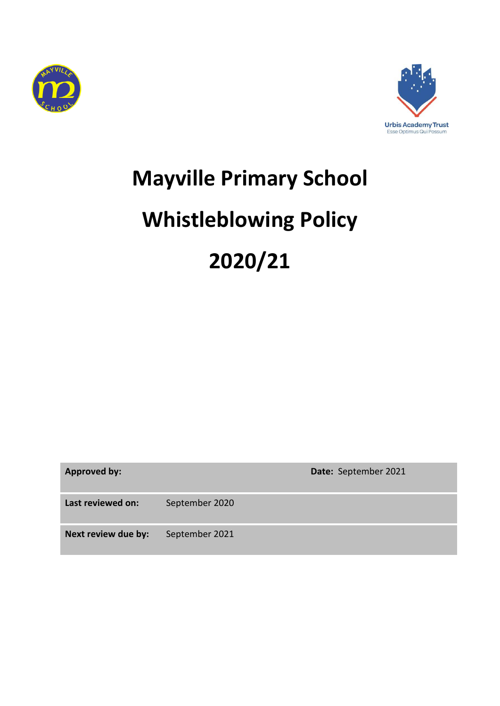



# **Mayville Primary School Whistleblowing Policy 2020/21**

| <b>Approved by:</b> |                | Date: September 2021 |
|---------------------|----------------|----------------------|
| Last reviewed on:   | September 2020 |                      |
| Next review due by: | September 2021 |                      |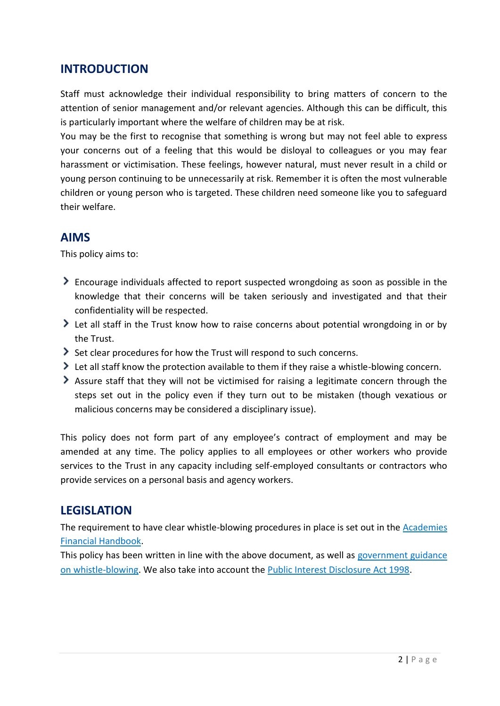#### **INTRODUCTION**

Staff must acknowledge their individual responsibility to bring matters of concern to the attention of senior management and/or relevant agencies. Although this can be difficult, this is particularly important where the welfare of children may be at risk.

You may be the first to recognise that something is wrong but may not feel able to express your concerns out of a feeling that this would be disloyal to colleagues or you may fear harassment or victimisation. These feelings, however natural, must never result in a child or young person continuing to be unnecessarily at risk. Remember it is often the most vulnerable children or young person who is targeted. These children need someone like you to safeguard their welfare.

#### **AIMS**

This policy aims to:

- Encourage individuals affected to report suspected wrongdoing as soon as possible in the knowledge that their concerns will be taken seriously and investigated and that their confidentiality will be respected.
- Let all staff in the Trust know how to raise concerns about potential wrongdoing in or by the Trust.
- Set clear procedures for how the Trust will respond to such concerns.
- Let all staff know the protection available to them if they raise a whistle-blowing concern.
- Assure staff that they will not be victimised for raising a legitimate concern through the steps set out in the policy even if they turn out to be mistaken (though vexatious or malicious concerns may be considered a disciplinary issue).

This policy does not form part of any employee's contract of employment and may be amended at any time. The policy applies to all employees or other workers who provide services to the Trust in any capacity including self-employed consultants or contractors who provide services on a personal basis and agency workers.

# **LEGISLATION**

The requirement to have clear whistle-blowing procedures in place is set out in the [Academies](https://www.gov.uk/government/publications/academies-financial-handbook)  [Financial Handbook.](https://www.gov.uk/government/publications/academies-financial-handbook)

This policy has been written in line with the above document, as well as government guidance [on whistle-blowing.](https://www.gov.uk/whistleblowing) We also take into account the [Public Interest Disclosure Act 1998.](https://www.legislation.gov.uk/ukpga/1998/23/contents)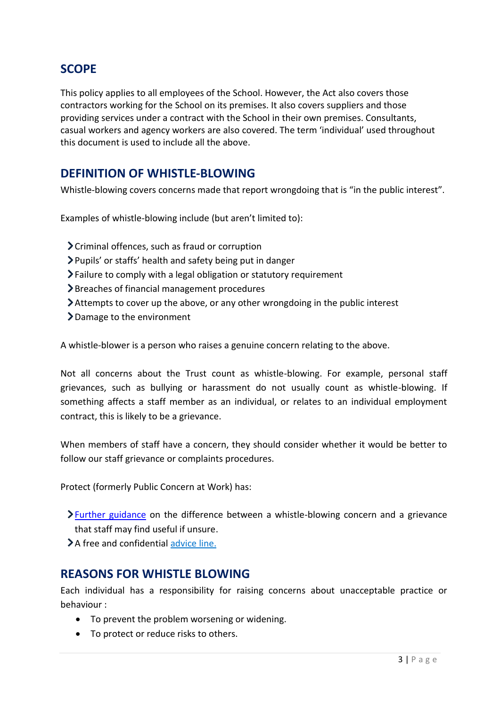# **SCOPE**

This policy applies to all employees of the School. However, the Act also covers those contractors working for the School on its premises. It also covers suppliers and those providing services under a contract with the School in their own premises. Consultants, casual workers and agency workers are also covered. The term 'individual' used throughout this document is used to include all the above.

#### **DEFINITION OF WHISTLE-BLOWING**

Whistle-blowing covers concerns made that report wrongdoing that is "in the public interest".

Examples of whistle-blowing include (but aren't limited to):

- $\sum$  Criminal offences, such as fraud or corruption
- Pupils' or staffs' health and safety being put in danger
- $\sum$  Failure to comply with a legal obligation or statutory requirement
- Breaches of financial management procedures
- Attempts to cover up the above, or any other wrongdoing in the public interest
- Damage to the environment

A whistle-blower is a person who raises a genuine concern relating to the above.

Not all concerns about the Trust count as whistle-blowing. For example, personal staff grievances, such as bullying or harassment do not usually count as whistle-blowing. If something affects a staff member as an individual, or relates to an individual employment contract, this is likely to be a grievance.

When members of staff have a concern, they should consider whether it would be better to follow our staff grievance or complaints procedures.

Protect (formerly Public Concern at Work) has:

- **>**[Further guidance](https://protect-advice.org.uk/what-is-the-difference-between-raising-a-grievance-and-whistleblowing/) on the difference between a whistle-blowing concern and a grievance that staff may find useful if unsure.
- > A free and confidential advice line.

#### **REASONS FOR WHISTLE BLOWING**

Each individual has a responsibility for raising concerns about unacceptable practice or behaviour :

- To prevent the problem worsening or widening.
- To protect or reduce risks to others.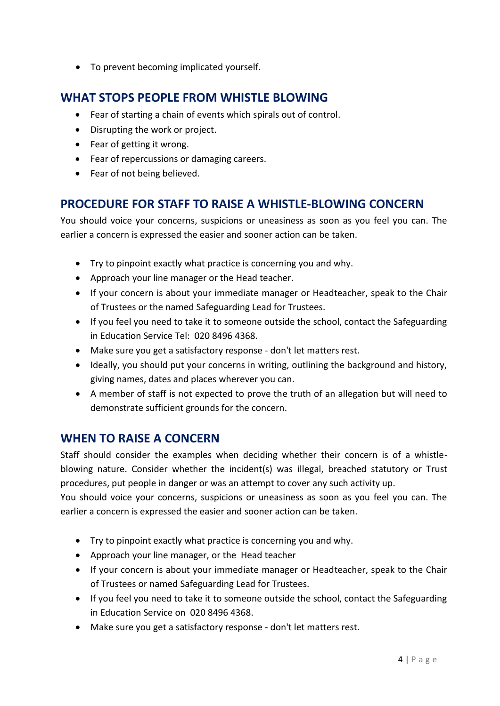To prevent becoming implicated yourself.

# **WHAT STOPS PEOPLE FROM WHISTLE BLOWING**

- Fear of starting a chain of events which spirals out of control.
- Disrupting the work or project.
- Fear of getting it wrong.
- Fear of repercussions or damaging careers.
- Fear of not being believed.

# **PROCEDURE FOR STAFF TO RAISE A WHISTLE-BLOWING CONCERN**

You should voice your concerns, suspicions or uneasiness as soon as you feel you can. The earlier a concern is expressed the easier and sooner action can be taken.

- Try to pinpoint exactly what practice is concerning you and why.
- Approach your line manager or the Head teacher.
- If your concern is about your immediate manager or Headteacher, speak to the Chair of Trustees or the named Safeguarding Lead for Trustees.
- If you feel you need to take it to someone outside the school, contact the Safeguarding in Education Service Tel: 020 8496 4368.
- Make sure you get a satisfactory response don't let matters rest.
- Ideally, you should put your concerns in writing, outlining the background and history, giving names, dates and places wherever you can.
- A member of staff is not expected to prove the truth of an allegation but will need to demonstrate sufficient grounds for the concern.

# **WHEN TO RAISE A CONCERN**

Staff should consider the examples when deciding whether their concern is of a whistleblowing nature. Consider whether the incident(s) was illegal, breached statutory or Trust procedures, put people in danger or was an attempt to cover any such activity up.

You should voice your concerns, suspicions or uneasiness as soon as you feel you can. The earlier a concern is expressed the easier and sooner action can be taken.

- Try to pinpoint exactly what practice is concerning you and why.
- Approach your line manager, or the Head teacher
- If your concern is about your immediate manager or Headteacher, speak to the Chair of Trustees or named Safeguarding Lead for Trustees.
- If you feel you need to take it to someone outside the school, contact the Safeguarding in Education Service on 020 8496 4368.
- Make sure you get a satisfactory response don't let matters rest.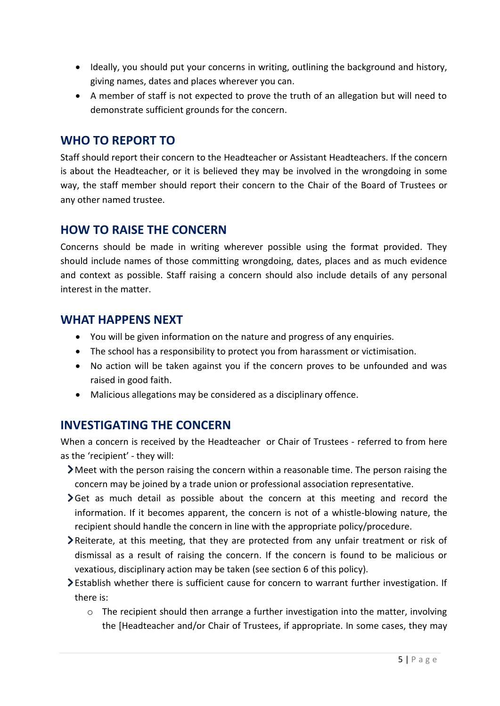- Ideally, you should put your concerns in writing, outlining the background and history, giving names, dates and places wherever you can.
- A member of staff is not expected to prove the truth of an allegation but will need to demonstrate sufficient grounds for the concern.

#### **WHO TO REPORT TO**

Staff should report their concern to the Headteacher or Assistant Headteachers. If the concern is about the Headteacher, or it is believed they may be involved in the wrongdoing in some way, the staff member should report their concern to the Chair of the Board of Trustees or any other named trustee.

#### **HOW TO RAISE THE CONCERN**

Concerns should be made in writing wherever possible using the format provided. They should include names of those committing wrongdoing, dates, places and as much evidence and context as possible. Staff raising a concern should also include details of any personal interest in the matter.

#### **WHAT HAPPENS NEXT**

- You will be given information on the nature and progress of any enquiries.
- The school has a responsibility to protect you from harassment or victimisation.
- No action will be taken against you if the concern proves to be unfounded and was raised in good faith.
- Malicious allegations may be considered as a disciplinary offence.

# **INVESTIGATING THE CONCERN**

When a concern is received by the Headteacher or Chair of Trustees - referred to from here as the 'recipient' - they will:

- Meet with the person raising the concern within a reasonable time. The person raising the concern may be joined by a trade union or professional association representative.
- $\blacktriangleright$  Get as much detail as possible about the concern at this meeting and record the information. If it becomes apparent, the concern is not of a whistle-blowing nature, the recipient should handle the concern in line with the appropriate policy/procedure.
- Reiterate, at this meeting, that they are protected from any unfair treatment or risk of dismissal as a result of raising the concern. If the concern is found to be malicious or vexatious, disciplinary action may be taken (see section 6 of this policy).
- Establish whether there is sufficient cause for concern to warrant further investigation. If there is:
	- $\circ$  The recipient should then arrange a further investigation into the matter, involving the [Headteacher and/or Chair of Trustees, if appropriate. In some cases, they may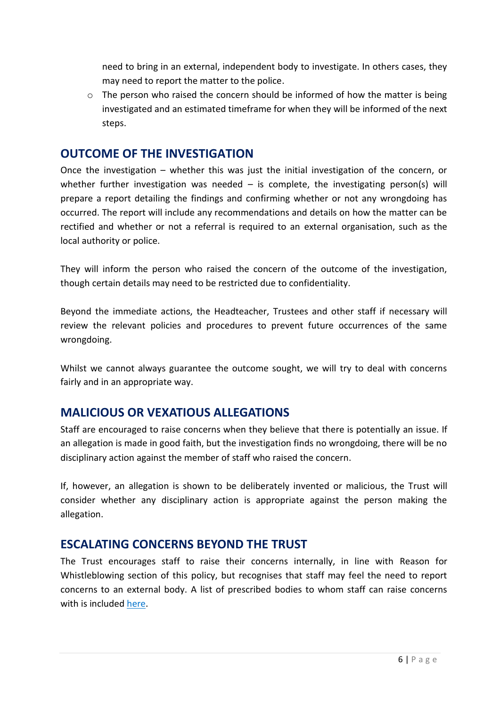need to bring in an external, independent body to investigate. In others cases, they may need to report the matter to the police.

 $\circ$  The person who raised the concern should be informed of how the matter is being investigated and an estimated timeframe for when they will be informed of the next steps.

#### **OUTCOME OF THE INVESTIGATION**

Once the investigation – whether this was just the initial investigation of the concern, or whether further investigation was needed  $-$  is complete, the investigating person(s) will prepare a report detailing the findings and confirming whether or not any wrongdoing has occurred. The report will include any recommendations and details on how the matter can be rectified and whether or not a referral is required to an external organisation, such as the local authority or police.

They will inform the person who raised the concern of the outcome of the investigation, though certain details may need to be restricted due to confidentiality.

Beyond the immediate actions, the Headteacher, Trustees and other staff if necessary will review the relevant policies and procedures to prevent future occurrences of the same wrongdoing.

Whilst we cannot always guarantee the outcome sought, we will try to deal with concerns fairly and in an appropriate way.

# **MALICIOUS OR VEXATIOUS ALLEGATIONS**

Staff are encouraged to raise concerns when they believe that there is potentially an issue. If an allegation is made in good faith, but the investigation finds no wrongdoing, there will be no disciplinary action against the member of staff who raised the concern.

If, however, an allegation is shown to be deliberately invented or malicious, the Trust will consider whether any disciplinary action is appropriate against the person making the allegation.

# **ESCALATING CONCERNS BEYOND THE TRUST**

The Trust encourages staff to raise their concerns internally, in line with Reason for Whistleblowing section of this policy, but recognises that staff may feel the need to report concerns to an external body. A list of prescribed bodies to whom staff can raise concerns with is included [here.](https://www.gov.uk/government/publications/blowing-the-whistle-list-of-prescribed-people-and-bodies--2/whistleblowing-list-of-prescribed-people-and-bodies#education)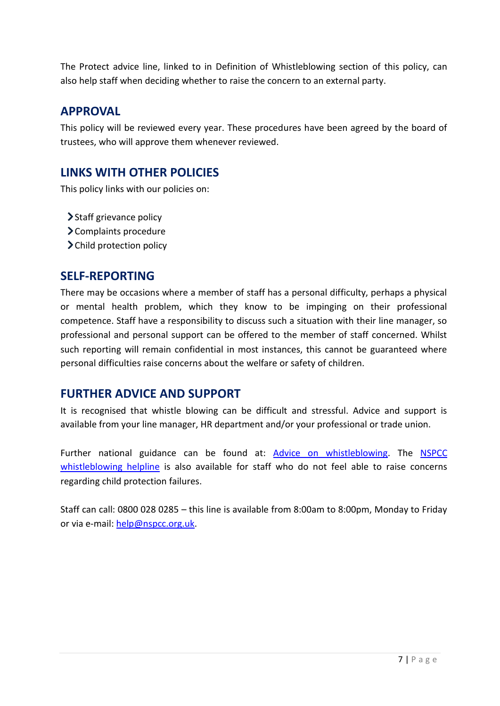The Protect advice line, linked to in Definition of Whistleblowing section of this policy, can also help staff when deciding whether to raise the concern to an external party.

#### **APPROVAL**

This policy will be reviewed every year. These procedures have been agreed by the board of trustees, who will approve them whenever reviewed.

# **LINKS WITH OTHER POLICIES**

This policy links with our policies on:

- > Staff grievance policy
- Complaints procedure
- > Child protection policy

#### **SELF-REPORTING**

There may be occasions where a member of staff has a personal difficulty, perhaps a physical or mental health problem, which they know to be impinging on their professional competence. Staff have a responsibility to discuss such a situation with their line manager, so professional and personal support can be offered to the member of staff concerned. Whilst such reporting will remain confidential in most instances, this cannot be guaranteed where personal difficulties raise concerns about the welfare or safety of children.

#### **FURTHER ADVICE AND SUPPORT**

It is recognised that whistle blowing can be difficult and stressful. Advice and support is available from your line manager, HR department and/or your professional or trade union.

Further national guidance can be found at: [Advice on whistleblowing.](https://www.gov.uk/whistleblowing) The [NSPCC](https://www.nspcc.org.uk/what-you-can-do/report-abuse/dedicated-helplines/whistleblowing-advice-line/)  [whistleblowing helpline](https://www.nspcc.org.uk/what-you-can-do/report-abuse/dedicated-helplines/whistleblowing-advice-line/) is also available for staff who do not feel able to raise concerns regarding child protection failures.

Staff can call: 0800 028 0285 – this line is available from 8:00am to 8:00pm, Monday to Friday or via e-mail: [help@nspcc.org.uk.](mailto:help@nspcc.org.uk)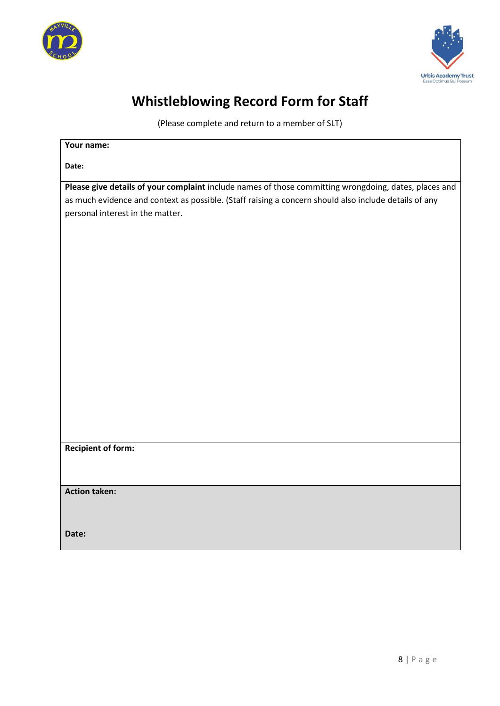



# **Whistleblowing Record Form for Staff**

(Please complete and return to a member of SLT)

| Your name:                                                                                            |  |  |
|-------------------------------------------------------------------------------------------------------|--|--|
| Date:                                                                                                 |  |  |
| Please give details of your complaint include names of those committing wrongdoing, dates, places and |  |  |
| as much evidence and context as possible. (Staff raising a concern should also include details of any |  |  |
| personal interest in the matter.                                                                      |  |  |
|                                                                                                       |  |  |
|                                                                                                       |  |  |
|                                                                                                       |  |  |
|                                                                                                       |  |  |
|                                                                                                       |  |  |
|                                                                                                       |  |  |
|                                                                                                       |  |  |
|                                                                                                       |  |  |
|                                                                                                       |  |  |
|                                                                                                       |  |  |
|                                                                                                       |  |  |
|                                                                                                       |  |  |
|                                                                                                       |  |  |
|                                                                                                       |  |  |
|                                                                                                       |  |  |
|                                                                                                       |  |  |
| <b>Recipient of form:</b>                                                                             |  |  |
|                                                                                                       |  |  |
|                                                                                                       |  |  |
| <b>Action taken:</b>                                                                                  |  |  |
|                                                                                                       |  |  |
|                                                                                                       |  |  |
| Date:                                                                                                 |  |  |
|                                                                                                       |  |  |